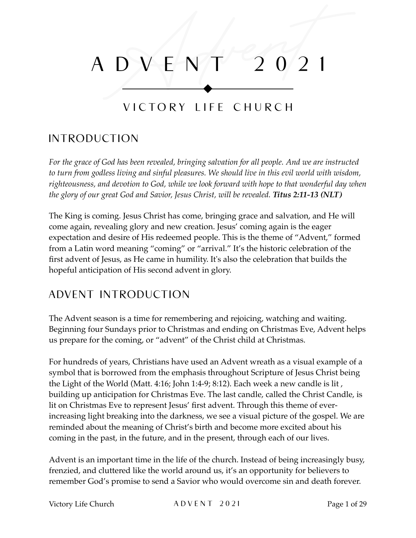# ADVENT 2021  $A DY F N T 2021$

# VICTORY LIFE CHURCH

# INTRODUCTION

*For the grace of God has been revealed, bringing salvation for all people. And we are instructed to turn from godless living and sinful pleasures. We should live in this evil world with wisdom, righteousness, and devotion to God, while we look forward with hope to that wonderful day when the glory of our great God and Savior, Jesus Christ, will be revealed. Titus 2:11-13 (NLT)*

The King is coming. Jesus Christ has come, bringing grace and salvation, and He will come again, revealing glory and new creation. Jesus' coming again is the eager expectation and desire of His redeemed people. This is the theme of "Advent," formed from a Latin word meaning "coming" or "arrival." It's the historic celebration of the first advent of Jesus, as He came in humility. It's also the celebration that builds the hopeful anticipation of His second advent in glory.

## ADVENT INTRODUCTION

The Advent season is a time for remembering and rejoicing, watching and waiting. Beginning four Sundays prior to Christmas and ending on Christmas Eve, Advent helps us prepare for the coming, or "advent" of the Christ child at Christmas.

For hundreds of years, Christians have used an Advent wreath as a visual example of a symbol that is borrowed from the emphasis throughout Scripture of Jesus Christ being the Light of the World (Matt. 4:16; John 1:4-9; 8:12). Each week a new candle is lit , building up anticipation for Christmas Eve. The last candle, called the Christ Candle, is lit on Christmas Eve to represent Jesus' first advent. Through this theme of everincreasing light breaking into the darkness, we see a visual picture of the gospel. We are reminded about the meaning of Christ's birth and become more excited about his coming in the past, in the future, and in the present, through each of our lives.

Advent is an important time in the life of the church. Instead of being increasingly busy, frenzied, and cluttered like the world around us, it's an opportunity for believers to remember God's promise to send a Savior who would overcome sin and death forever.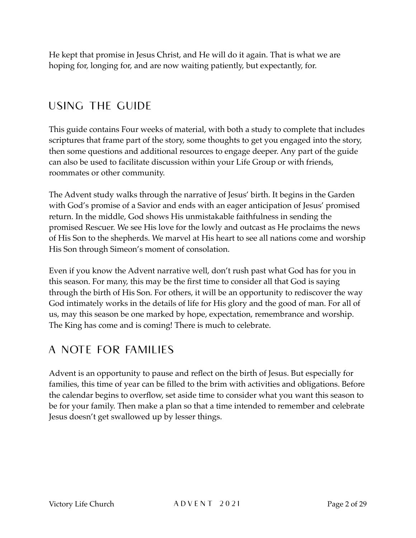He kept that promise in Jesus Christ, and He will do it again. That is what we are hoping for, longing for, and are now waiting patiently, but expectantly, for.

# USING THE GUIDE

This guide contains Four weeks of material, with both a study to complete that includes scriptures that frame part of the story, some thoughts to get you engaged into the story, then some questions and additional resources to engage deeper. Any part of the guide can also be used to facilitate discussion within your Life Group or with friends, roommates or other community.

The Advent study walks through the narrative of Jesus' birth. It begins in the Garden with God's promise of a Savior and ends with an eager anticipation of Jesus' promised return. In the middle, God shows His unmistakable faithfulness in sending the promised Rescuer. We see His love for the lowly and outcast as He proclaims the news of His Son to the shepherds. We marvel at His heart to see all nations come and worship His Son through Simeon's moment of consolation.

Even if you know the Advent narrative well, don't rush past what God has for you in this season. For many, this may be the first time to consider all that God is saying through the birth of His Son. For others, it will be an opportunity to rediscover the way God intimately works in the details of life for His glory and the good of man. For all of us, may this season be one marked by hope, expectation, remembrance and worship. The King has come and is coming! There is much to celebrate.

# A NOTE FOR FAMILIES

Advent is an opportunity to pause and reflect on the birth of Jesus. But especially for families, this time of year can be filled to the brim with activities and obligations. Before the calendar begins to overflow, set aside time to consider what you want this season to be for your family. Then make a plan so that a time intended to remember and celebrate Jesus doesn't get swallowed up by lesser things.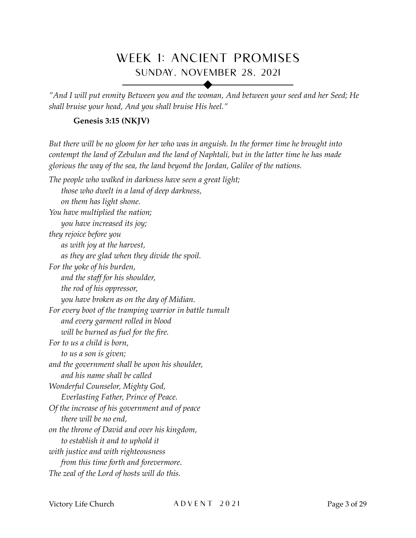# WEEK 1: ANCIENT PROMISES SUNDAY, NOVEMBER 28, 2021

*"And I will put enmity Between you and the woman, And between your seed and her Seed; He shall bruise your head, And you shall bruise His heel."*

#### **Genesis 3:15 (NKJV)**

*But there will be no gloom for her who was in anguish. In the former time he brought into contempt the land of Zebulun and the land of Naphtali, but in the latter time he has made glorious the way of the sea, the land beyond the Jordan, Galilee of the nations.* 

*The people who walked in darkness have seen a great light; those who dwelt in a land of deep darkness, on them has light shone. You have multiplied the nation; you have increased its joy; they rejoice before you as with joy at the harvest, as they are glad when they divide the spoil. For the yoke of his burden, and the staff for his shoulder, the rod of his oppressor, you have broken as on the day of Midian. For every boot of the tramping warrior in battle tumult and every garment rolled in blood will be burned as fuel for the fire. For to us a child is born, to us a son is given; and the government shall be upon his shoulder, and his name shall be called Wonderful Counselor, Mighty God, Everlasting Father, Prince of Peace. Of the increase of his government and of peace there will be no end, on the throne of David and over his kingdom, to establish it and to uphold it with justice and with righteousness from this time forth and forevermore. The zeal of the Lord of hosts will do this.*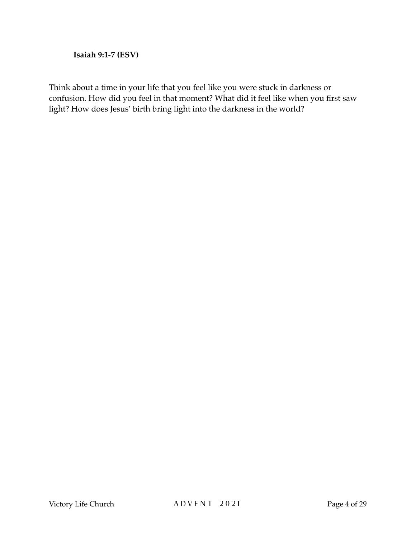#### **Isaiah 9:1-7 (ESV)**

Think about a time in your life that you feel like you were stuck in darkness or confusion. How did you feel in that moment? What did it feel like when you first saw light? How does Jesus' birth bring light into the darkness in the world?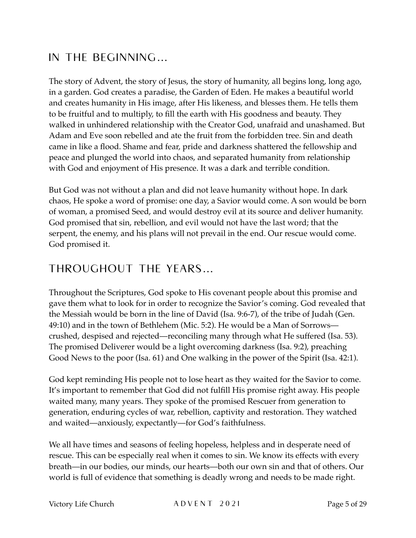# IN THE BEGINNING…

The story of Advent, the story of Jesus, the story of humanity, all begins long, long ago, in a garden. God creates a paradise, the Garden of Eden. He makes a beautiful world and creates humanity in His image, after His likeness, and blesses them. He tells them to be fruitful and to multiply, to fill the earth with His goodness and beauty. They walked in unhindered relationship with the Creator God, unafraid and unashamed. But Adam and Eve soon rebelled and ate the fruit from the forbidden tree. Sin and death came in like a flood. Shame and fear, pride and darkness shattered the fellowship and peace and plunged the world into chaos, and separated humanity from relationship with God and enjoyment of His presence. It was a dark and terrible condition.

But God was not without a plan and did not leave humanity without hope. In dark chaos, He spoke a word of promise: one day, a Savior would come. A son would be born of woman, a promised Seed, and would destroy evil at its source and deliver humanity. God promised that sin, rebellion, and evil would not have the last word; that the serpent, the enemy, and his plans will not prevail in the end. Our rescue would come. God promised it.

# THROUGHOUT THE YEARS…

Throughout the Scriptures, God spoke to His covenant people about this promise and gave them what to look for in order to recognize the Savior's coming. God revealed that the Messiah would be born in the line of David (Isa. 9:6-7), of the tribe of Judah (Gen. 49:10) and in the town of Bethlehem (Mic. 5:2). He would be a Man of Sorrows crushed, despised and rejected—reconciling many through what He suffered (Isa. 53). The promised Deliverer would be a light overcoming darkness (Isa. 9:2), preaching Good News to the poor (Isa. 61) and One walking in the power of the Spirit (Isa. 42:1).

God kept reminding His people not to lose heart as they waited for the Savior to come. It's important to remember that God did not fulfill His promise right away. His people waited many, many years. They spoke of the promised Rescuer from generation to generation, enduring cycles of war, rebellion, captivity and restoration. They watched and waited—anxiously, expectantly—for God's faithfulness.

We all have times and seasons of feeling hopeless, helpless and in desperate need of rescue. This can be especially real when it comes to sin. We know its effects with every breath—in our bodies, our minds, our hearts—both our own sin and that of others. Our world is full of evidence that something is deadly wrong and needs to be made right.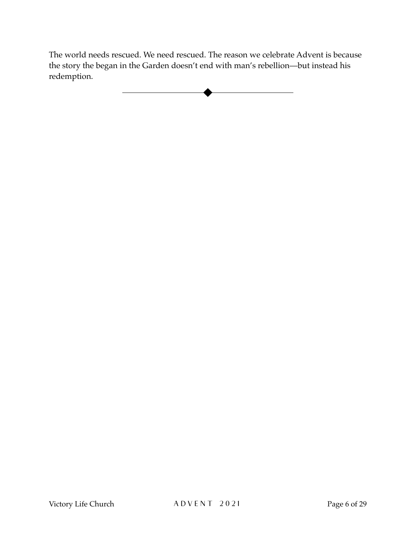The world needs rescued. We need rescued. The reason we celebrate Advent is because the story the began in the Garden doesn't end with man's rebellion—but instead his redemption.

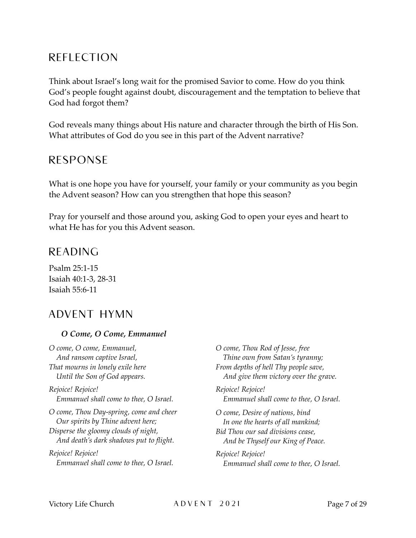## REFLECTION

Think about Israel's long wait for the promised Savior to come. How do you think God's people fought against doubt, discouragement and the temptation to believe that God had forgot them?

God reveals many things about His nature and character through the birth of His Son. What attributes of God do you see in this part of the Advent narrative?

#### RESPONSE

What is one hope you have for yourself, your family or your community as you begin the Advent season? How can you strengthen that hope this season?

Pray for yourself and those around you, asking God to open your eyes and heart to what He has for you this Advent season.

#### READING

Psalm 25:1-15 Isaiah 40:1-3, 28-31 Isaiah 55:6-11

## ADVENT HYMN

#### *O Come, O Come, Emmanuel*

*O come, O come, Emmanuel, And ransom captive Israel, That mourns in lonely exile here Until the Son of God appears.*

*Rejoice! Rejoice! Emmanuel shall come to thee, O Israel.*

*O come, Thou Day-spring, come and cheer Our spirits by Thine advent here; Disperse the gloomy clouds of night, And death's dark shadows put to flight.*

*Rejoice! Rejoice! Emmanuel shall come to thee, O Israel.* *O come, Thou Rod of Jesse, free Thine own from Satan's tyranny; From depths of hell Thy people save, And give them victory over the grave.* 

*Rejoice! Rejoice! Emmanuel shall come to thee, O Israel.*

*O come, Desire of nations, bind In one the hearts of all mankind; Bid Thou our sad divisions cease, And be Thyself our King of Peace.*

*Rejoice! Rejoice! Emmanuel shall come to thee, O Israel.*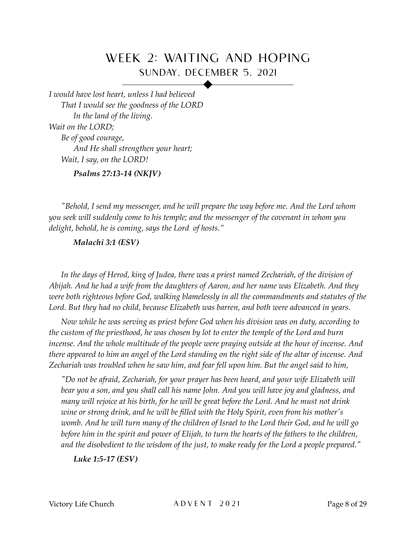# WEEK 2: WAITING AND HOPING SUNDAY, DECEMBER 5, 2021

*I would have lost heart, unless I had believed That I would see the goodness of the LORD In the land of the living. Wait on the LORD; Be of good courage, And He shall strengthen your heart; Wait, I say, on the LORD!*

*Psalms 27:13-14 (NKJV)*

*"Behold, I send my messenger, and he will prepare the way before me. And the Lord whom you seek will suddenly come to his temple; and the messenger of the covenant in whom you delight, behold, he is coming, says the Lord of hosts."*

*Malachi 3:1 (ESV)*

*In the days of Herod, king of Judea, there was a priest named Zechariah, of the division of Abijah. And he had a wife from the daughters of Aaron, and her name was Elizabeth. And they were both righteous before God, walking blamelessly in all the commandments and statutes of the Lord. But they had no child, because Elizabeth was barren, and both were advanced in years.*

*Now while he was serving as priest before God when his division was on duty, according to the custom of the priesthood, he was chosen by lot to enter the temple of the Lord and burn incense. And the whole multitude of the people were praying outside at the hour of incense. And there appeared to him an angel of the Lord standing on the right side of the altar of incense. And Zechariah was troubled when he saw him, and fear fell upon him. But the angel said to him,* 

*"Do not be afraid, Zechariah, for your prayer has been heard, and your wife Elizabeth will bear you a son, and you shall call his name John. And you will have joy and gladness, and many will rejoice at his birth, for he will be great before the Lord. And he must not drink wine or strong drink, and he will be filled with the Holy Spirit, even from his mother's womb. And he will turn many of the children of Israel to the Lord their God, and he will go before him in the spirit and power of Elijah, to turn the hearts of the fathers to the children, and the disobedient to the wisdom of the just, to make ready for the Lord a people prepared."*

*Luke 1:5-17 (ESV)*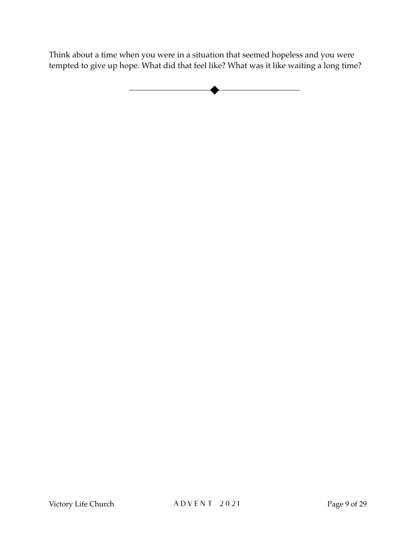Think about a time when you were in a situation that seemed hopeless and you were tempted to give up hope. What did that feel like? What was it like waiting a long time?

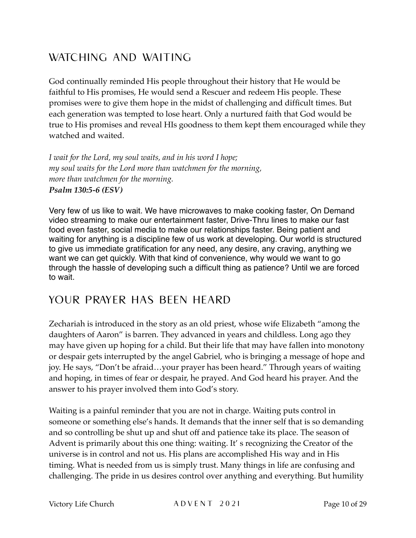# WATCHING AND WAITING

God continually reminded His people throughout their history that He would be faithful to His promises, He would send a Rescuer and redeem His people. These promises were to give them hope in the midst of challenging and difficult times. But each generation was tempted to lose heart. Only a nurtured faith that God would be true to His promises and reveal HIs goodness to them kept them encouraged while they watched and waited.

*I wait for the Lord, my soul waits, and in his word I hope; my soul waits for the Lord more than watchmen for the morning, more than watchmen for the morning. Psalm 130:5-6 (ESV)* 

Very few of us like to wait. We have microwaves to make cooking faster, On Demand video streaming to make our entertainment faster, Drive-Thru lines to make our fast food even faster, social media to make our relationships faster. Being patient and waiting for anything is a discipline few of us work at developing. Our world is structured to give us immediate gratification for any need, any desire, any craving, anything we want we can get quickly. With that kind of convenience, why would we want to go through the hassle of developing such a difficult thing as patience? Until we are forced to wait.

## YOUR PRAYER HAS BEEN HEARD

Zechariah is introduced in the story as an old priest, whose wife Elizabeth "among the daughters of Aaron" is barren. They advanced in years and childless. Long ago they may have given up hoping for a child. But their life that may have fallen into monotony or despair gets interrupted by the angel Gabriel, who is bringing a message of hope and joy. He says, "Don't be afraid…your prayer has been heard." Through years of waiting and hoping, in times of fear or despair, he prayed. And God heard his prayer. And the answer to his prayer involved them into God's story.

Waiting is a painful reminder that you are not in charge. Waiting puts control in someone or something else's hands. It demands that the inner self that is so demanding and so controlling be shut up and shut off and patience take its place. The season of Advent is primarily about this one thing: waiting. It' s recognizing the Creator of the universe is in control and not us. His plans are accomplished His way and in His timing. What is needed from us is simply trust. Many things in life are confusing and challenging. The pride in us desires control over anything and everything. But humility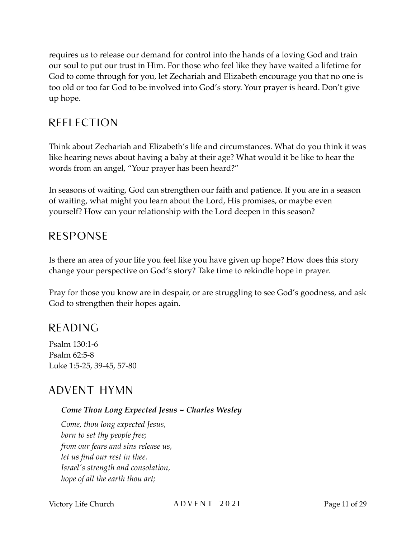requires us to release our demand for control into the hands of a loving God and train our soul to put our trust in Him. For those who feel like they have waited a lifetime for God to come through for you, let Zechariah and Elizabeth encourage you that no one is too old or too far God to be involved into God's story. Your prayer is heard. Don't give up hope.

# REFLECTION

Think about Zechariah and Elizabeth's life and circumstances. What do you think it was like hearing news about having a baby at their age? What would it be like to hear the words from an angel, "Your prayer has been heard?"

In seasons of waiting, God can strengthen our faith and patience. If you are in a season of waiting, what might you learn about the Lord, His promises, or maybe even yourself? How can your relationship with the Lord deepen in this season?

## RESPONSE

Is there an area of your life you feel like you have given up hope? How does this story change your perspective on God's story? Take time to rekindle hope in prayer.

Pray for those you know are in despair, or are struggling to see God's goodness, and ask God to strengthen their hopes again.

## READING

Psalm 130:1-6 Psalm 62:5-8 Luke 1:5-25, 39-45, 57-80

## ADVENT HYMN

#### *Come Thou Long Expected Jesus ~ Charles Wesley*

*Come, thou long expected Jesus, born to set thy people free; from our fears and sins release us, let us find our rest in thee. Israel's strength and consolation, hope of all the earth thou art;*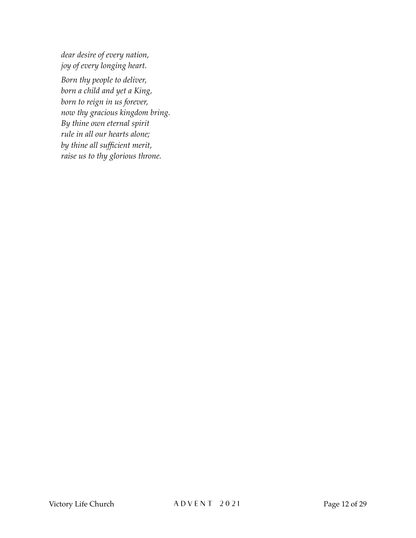*dear desire of every nation, joy of every longing heart.*

*Born thy people to deliver, born a child and yet a King, born to reign in us forever, now thy gracious kingdom bring. By thine own eternal spirit rule in all our hearts alone; by thine all sufficient merit, raise us to thy glorious throne.*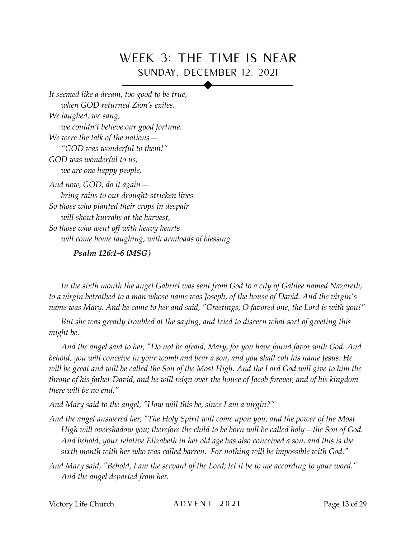# WEEK 3: THE TIME IS NEAR SUNDAY, DECEMBER 12, 2021

*It seemed like a dream, too good to be true, when GOD returned Zion's exiles. We laughed, we sang, we couldn't believe our good fortune. We were the talk of the nations— "GOD was wonderful to them!" GOD was wonderful to us; we are one happy people. And now, GOD, do it again bring rains to our drought-stricken lives So those who planted their crops in despair will shout hurrahs at the harvest, So those who went off with heavy hearts will come home laughing, with armloads of blessing.*

*Psalm 126:1-6 (MSG)*

*In the sixth month the angel Gabriel was sent from God to a city of Galilee named Nazareth, to a virgin betrothed to a man whose name was Joseph, of the house of David. And the virgin's name was Mary. And he came to her and said, "Greetings, O favored one, the Lord is with you!"*

*But she was greatly troubled at the saying, and tried to discern what sort of greeting this might be.* 

*And the angel said to her, "Do not be afraid, Mary, for you have found favor with God. And behold, you will conceive in your womb and bear a son, and you shall call his name Jesus. He will be great and will be called the Son of the Most High. And the Lord God will give to him the throne of his father David, and he will reign over the house of Jacob forever, and of his kingdom there will be no end."*

*And Mary said to the angel, "How will this be, since I am a virgin?"* 

*And the angel answered her, "The Holy Spirit will come upon you, and the power of the Most High will overshadow you; therefore the child to be born will be called holy—the Son of God. And behold, your relative Elizabeth in her old age has also conceived a son, and this is the sixth month with her who was called barren. For nothing will be impossible with God."* 

*And Mary said, "Behold, I am the servant of the Lord; let it be to me according to your word." And the angel departed from her.*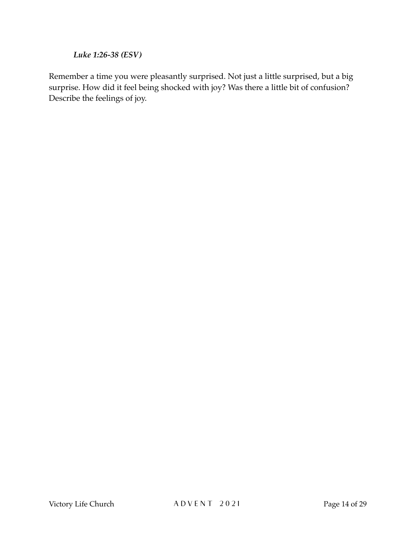#### *Luke 1:26-38 (ESV)*

Remember a time you were pleasantly surprised. Not just a little surprised, but a big surprise. How did it feel being shocked with joy? Was there a little bit of confusion? Describe the feelings of joy.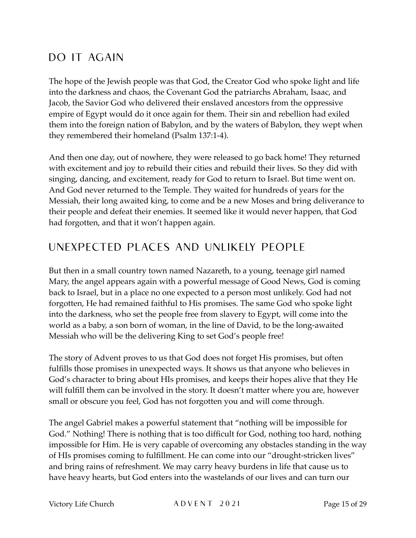# DO IT AGAIN

The hope of the Jewish people was that God, the Creator God who spoke light and life into the darkness and chaos, the Covenant God the patriarchs Abraham, Isaac, and Jacob, the Savior God who delivered their enslaved ancestors from the oppressive empire of Egypt would do it once again for them. Their sin and rebellion had exiled them into the foreign nation of Babylon, and by the waters of Babylon, they wept when they remembered their homeland (Psalm 137:1-4).

And then one day, out of nowhere, they were released to go back home! They returned with excitement and joy to rebuild their cities and rebuild their lives. So they did with singing, dancing, and excitement, ready for God to return to Israel. But time went on. And God never returned to the Temple. They waited for hundreds of years for the Messiah, their long awaited king, to come and be a new Moses and bring deliverance to their people and defeat their enemies. It seemed like it would never happen, that God had forgotten, and that it won't happen again.

# UNEXPECTED PLACES AND UNLIKELY PEOPLE

But then in a small country town named Nazareth, to a young, teenage girl named Mary, the angel appears again with a powerful message of Good News, God is coming back to Israel, but in a place no one expected to a person most unlikely. God had not forgotten, He had remained faithful to His promises. The same God who spoke light into the darkness, who set the people free from slavery to Egypt, will come into the world as a baby, a son born of woman, in the line of David, to be the long-awaited Messiah who will be the delivering King to set God's people free!

The story of Advent proves to us that God does not forget His promises, but often fulfills those promises in unexpected ways. It shows us that anyone who believes in God's character to bring about HIs promises, and keeps their hopes alive that they He will fulfill them can be involved in the story. It doesn't matter where you are, however small or obscure you feel, God has not forgotten you and will come through.

The angel Gabriel makes a powerful statement that "nothing will be impossible for God." Nothing! There is nothing that is too difficult for God, nothing too hard, nothing impossible for Him. He is very capable of overcoming any obstacles standing in the way of HIs promises coming to fulfillment. He can come into our "drought-stricken lives" and bring rains of refreshment. We may carry heavy burdens in life that cause us to have heavy hearts, but God enters into the wastelands of our lives and can turn our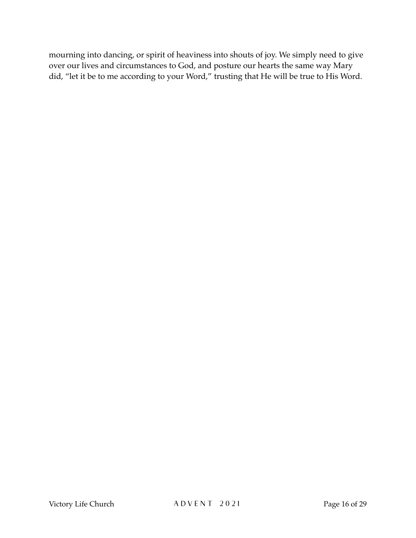mourning into dancing, or spirit of heaviness into shouts of joy. We simply need to give over our lives and circumstances to God, and posture our hearts the same way Mary did, "let it be to me according to your Word," trusting that He will be true to His Word.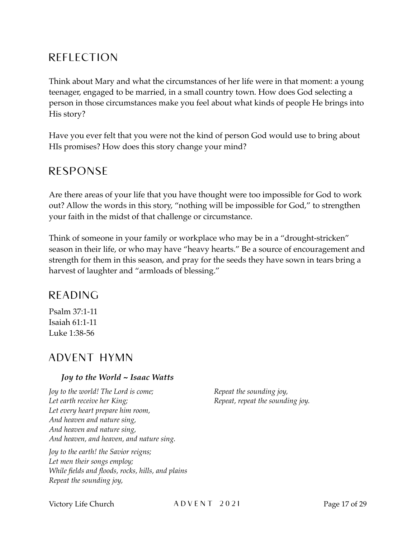# REFLECTION

Think about Mary and what the circumstances of her life were in that moment: a young teenager, engaged to be married, in a small country town. How does God selecting a person in those circumstances make you feel about what kinds of people He brings into His story?

Have you ever felt that you were not the kind of person God would use to bring about HIs promises? How does this story change your mind?

## RESPONSE

Are there areas of your life that you have thought were too impossible for God to work out? Allow the words in this story, "nothing will be impossible for God," to strengthen your faith in the midst of that challenge or circumstance.

Think of someone in your family or workplace who may be in a "drought-stricken" season in their life, or who may have "heavy hearts." Be a source of encouragement and strength for them in this season, and pray for the seeds they have sown in tears bring a harvest of laughter and "armloads of blessing."

#### READING

Psalm 37:1-11 Isaiah 61:1-11 Luke 1:38-56

## ADVENT HYMN

#### *Joy to the World ~ Isaac Watts*

*Joy to the world! The Lord is come; Let earth receive her King; Let every heart prepare him room, And heaven and nature sing, And heaven and nature sing, And heaven, and heaven, and nature sing.*

*Joy to the earth! the Savior reigns; Let men their songs employ; While fields and floods, rocks, hills, and plains Repeat the sounding joy,*

*Repeat the sounding joy, Repeat, repeat the sounding joy.*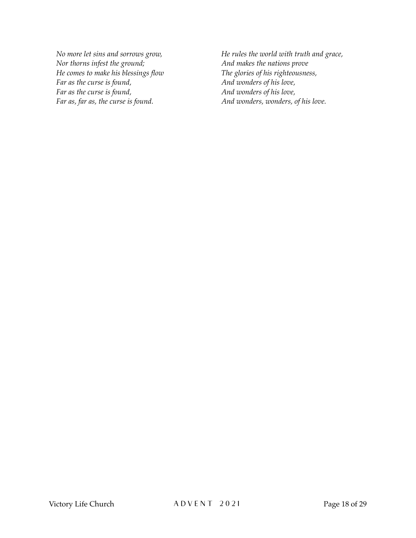*No more let sins and sorrows grow, Nor thorns infest the ground; He comes to make his blessings flow Far as the curse is found, Far as the curse is found, Far as, far as, the curse is found.*

*He rules the world with truth and grace, And makes the nations prove The glories of his righteousness, And wonders of his love, And wonders of his love, And wonders, wonders, of his love.*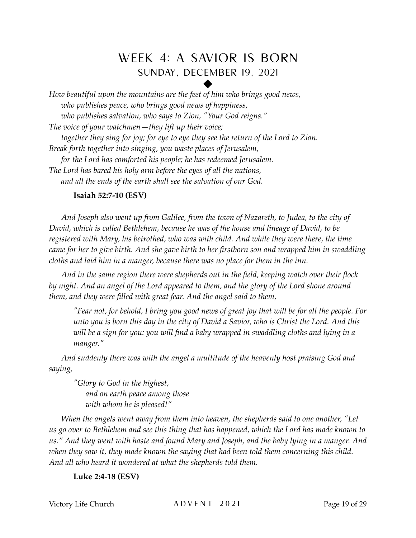# WEEK 4: A SAVIOR IS BORN SUNDAY, DECEMBER 19, 2021

*How beautiful upon the mountains are the feet of him who brings good news, who publishes peace, who brings good news of happiness, who publishes salvation, who says to Zion, "Your God reigns." The voice of your watchmen—they lift up their voice; together they sing for joy; for eye to eye they see the return of the Lord to Zion. Break forth together into singing, you waste places of Jerusalem, for the Lord has comforted his people; he has redeemed Jerusalem. The Lord has bared his holy arm before the eyes of all the nations, and all the ends of the earth shall see the salvation of our God.*

#### **Isaiah 52:7-10 (ESV)**

*And Joseph also went up from Galilee, from the town of Nazareth, to Judea, to the city of David, which is called Bethlehem, because he was of the house and lineage of David, to be registered with Mary, his betrothed, who was with child. And while they were there, the time came for her to give birth. And she gave birth to her firstborn son and wrapped him in swaddling cloths and laid him in a manger, because there was no place for them in the inn.* 

*And in the same region there were shepherds out in the field, keeping watch over their flock by night. And an angel of the Lord appeared to them, and the glory of the Lord shone around them, and they were filled with great fear. And the angel said to them,* 

*"Fear not, for behold, I bring you good news of great joy that will be for all the people. For unto you is born this day in the city of David a Savior, who is Christ the Lord. And this will be a sign for you: you will find a baby wrapped in swaddling cloths and lying in a manger."* 

*And suddenly there was with the angel a multitude of the heavenly host praising God and saying,*

*"Glory to God in the highest, and on earth peace among those with whom he is pleased!"*

*When the angels went away from them into heaven, the shepherds said to one another, "Let us go over to Bethlehem and see this thing that has happened, which the Lord has made known to us." And they went with haste and found Mary and Joseph, and the baby lying in a manger. And when they saw it, they made known the saying that had been told them concerning this child. And all who heard it wondered at what the shepherds told them.*

#### **Luke 2:4-18 (ESV)**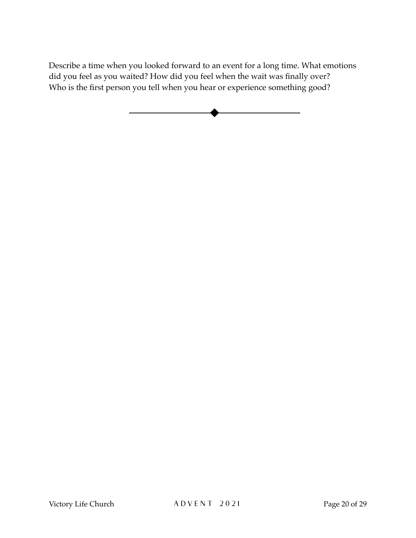Describe a time when you looked forward to an event for a long time. What emotions did you feel as you waited? How did you feel when the wait was finally over? Who is the first person you tell when you hear or experience something good?

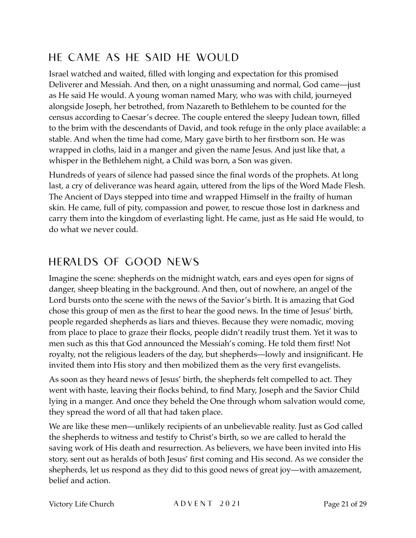# HE CAME AS HE SAID HE WOULD

Israel watched and waited, filled with longing and expectation for this promised Deliverer and Messiah. And then, on a night unassuming and normal, God came—just as He said He would. A young woman named Mary, who was with child, journeyed alongside Joseph, her betrothed, from Nazareth to Bethlehem to be counted for the census according to Caesar's decree. The couple entered the sleepy Judean town, filled to the brim with the descendants of David, and took refuge in the only place available: a stable. And when the time had come, Mary gave birth to her firstborn son. He was wrapped in cloths, laid in a manger and given the name Jesus. And just like that, a whisper in the Bethlehem night, a Child was born, a Son was given.

Hundreds of years of silence had passed since the final words of the prophets. At long last, a cry of deliverance was heard again, uttered from the lips of the Word Made Flesh. The Ancient of Days stepped into time and wrapped Himself in the frailty of human skin. He came, full of pity, compassion and power, to rescue those lost in darkness and carry them into the kingdom of everlasting light. He came, just as He said He would, to do what we never could.

# HERALDS OF GOOD NEWS

Imagine the scene: shepherds on the midnight watch, ears and eyes open for signs of danger, sheep bleating in the background. And then, out of nowhere, an angel of the Lord bursts onto the scene with the news of the Savior's birth. It is amazing that God chose this group of men as the first to hear the good news. In the time of Jesus' birth, people regarded shepherds as liars and thieves. Because they were nomadic, moving from place to place to graze their flocks, people didn't readily trust them. Yet it was to men such as this that God announced the Messiah's coming. He told them first! Not royalty, not the religious leaders of the day, but shepherds—lowly and insignificant. He invited them into His story and then mobilized them as the very first evangelists.

As soon as they heard news of Jesus' birth, the shepherds felt compelled to act. They went with haste, leaving their flocks behind, to find Mary, Joseph and the Savior Child lying in a manger. And once they beheld the One through whom salvation would come, they spread the word of all that had taken place.

We are like these men—unlikely recipients of an unbelievable reality. Just as God called the shepherds to witness and testify to Christ's birth, so we are called to herald the saving work of His death and resurrection. As believers, we have been invited into His story, sent out as heralds of both Jesus' first coming and His second. As we consider the shepherds, let us respond as they did to this good news of great joy—with amazement, belief and action.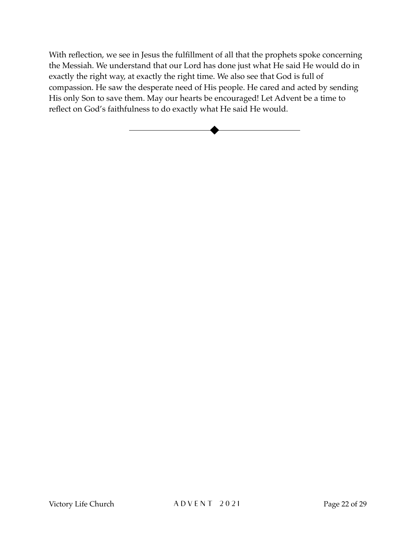With reflection, we see in Jesus the fulfillment of all that the prophets spoke concerning the Messiah. We understand that our Lord has done just what He said He would do in exactly the right way, at exactly the right time. We also see that God is full of compassion. He saw the desperate need of His people. He cared and acted by sending His only Son to save them. May our hearts be encouraged! Let Advent be a time to reflect on God's faithfulness to do exactly what He said He would.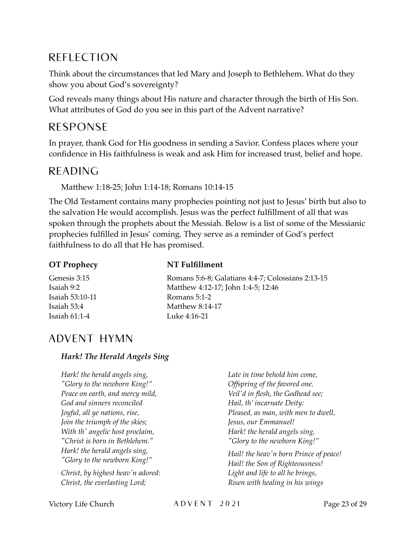# REFLECTION

Think about the circumstances that led Mary and Joseph to Bethlehem. What do they show you about God's sovereignty?

God reveals many things about His nature and character through the birth of His Son. What attributes of God do you see in this part of the Advent narrative?

## RESPONSE

In prayer, thank God for His goodness in sending a Savior. Confess places where your confidence in His faithfulness is weak and ask Him for increased trust, belief and hope.

## READING

Matthew 1:18-25; John 1:14-18; Romans 10:14-15

The Old Testament contains many prophecies pointing not just to Jesus' birth but also to the salvation He would accomplish. Jesus was the perfect fulfillment of all that was spoken through the prophets about the Messiah. Below is a list of some of the Messianic prophecies fulfilled in Jesus' coming. They serve as a reminder of God's perfect faithfulness to do all that He has promised.

| <b>OT</b> Prophecy | NT Fulfillment                                    |
|--------------------|---------------------------------------------------|
| Genesis 3:15       | Romans 5:6-8; Galatians 4:4-7; Colossians 2:13-15 |
| Isaiah 9:2         | Matthew 4:12-17; John 1:4-5; 12:46                |
| Isaiah 53:10-11    | Romans $5:1-2$                                    |
| Isaiah 53:4        | <b>Matthew 8:14-17</b>                            |
| Isaiah $61:1-4$    | Luke 4:16-21                                      |
|                    |                                                   |

# ADVENT HYMN

#### *Hark! The Herald Angels Sing*

*Hark! the herald angels sing, "Glory to the newborn King!" Peace on earth, and mercy mild, God and sinners reconciled Joyful, all ye nations, rise, Join the triumph of the skies; With th' angelic host proclaim, "Christ is born in Bethlehem." Hark! the herald angels sing, "Glory to the newborn King!"*

*Christ, by highest heav'n adored: Christ, the everlasting Lord;*

*Late in time behold him come, Offspring of the favored one. Veil'd in flesh, the Godhead see; Hail, th' incarnate Deity: Pleased, as man, with men to dwell, Jesus, our Emmanuel! Hark! the herald angels sing, "Glory to the newborn King!"*

*Hail! the heav'n born Prince of peace! Hail! the Son of Righteousness! Light and life to all he brings, Risen with healing in his wings*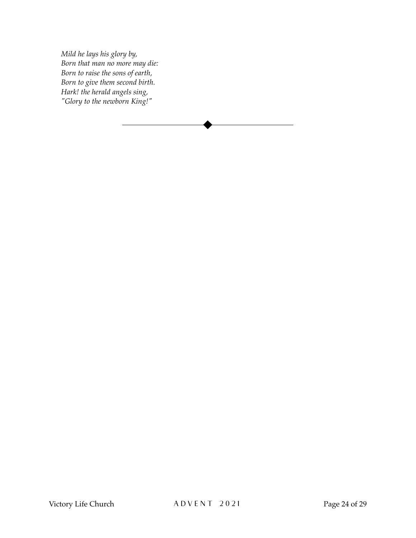*Mild he lays his glory by, Born that man no more may die: Born to raise the sons of earth, Born to give them second birth. Hark! the herald angels sing, "Glory to the newborn King!"*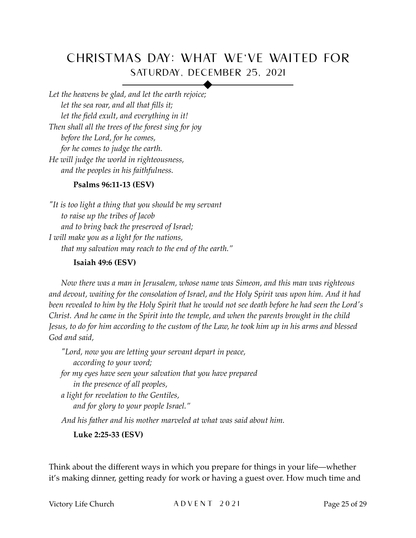# CHRISTMAS DAY: WHAT WE'VE WAITED FOR SATURDAY, DECEMBER 25, 2021

*Let the heavens be glad, and let the earth rejoice; let the sea roar, and all that fills it; let the field exult, and everything in it! Then shall all the trees of the forest sing for joy before the Lord, for he comes, for he comes to judge the earth. He will judge the world in righteousness, and the peoples in his faithfulness.*

#### **Psalms 96:11-13 (ESV)**

*"It is too light a thing that you should be my servant to raise up the tribes of Jacob and to bring back the preserved of Israel; I will make you as a light for the nations, that my salvation may reach to the end of the earth."*

#### **Isaiah 49:6 (ESV)**

*Now there was a man in Jerusalem, whose name was Simeon, and this man was righteous*  and devout, waiting for the consolation of Israel, and the Holy Spirit was upon him. And it had *been revealed to him by the Holy Spirit that he would not see death before he had seen the Lord's Christ. And he came in the Spirit into the temple, and when the parents brought in the child Jesus, to do for him according to the custom of the Law, he took him up in his arms and blessed God and said,*

*"Lord, now you are letting your servant depart in peace, according to your word; for my eyes have seen your salvation that you have prepared in the presence of all peoples, a light for revelation to the Gentiles, and for glory to your people Israel." And his father and his mother marveled at what was said about him.*

#### **Luke 2:25-33 (ESV)**

Think about the different ways in which you prepare for things in your life—whether it's making dinner, getting ready for work or having a guest over. How much time and

Victory Life Church ADVENT 2021 Page 25 of 29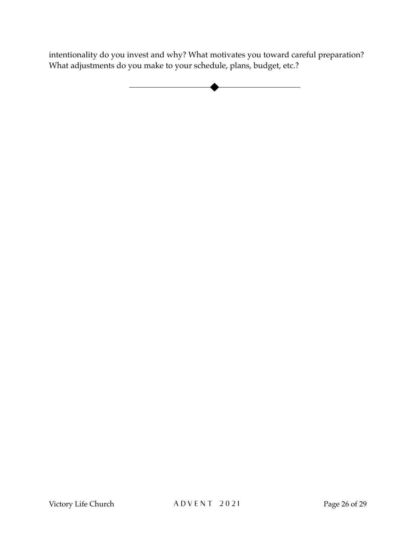intentionality do you invest and why? What motivates you toward careful preparation? What adjustments do you make to your schedule, plans, budget, etc.?

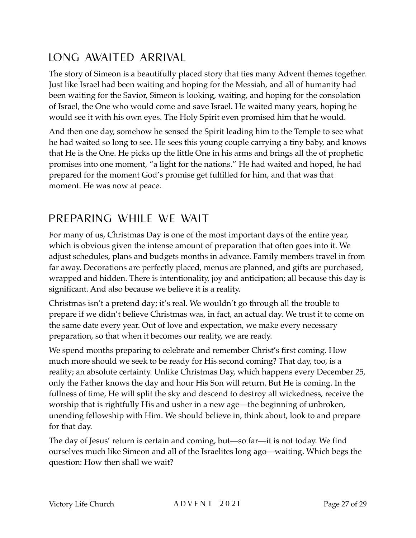# LONG AWAITED ARRIVAL

The story of Simeon is a beautifully placed story that ties many Advent themes together. Just like Israel had been waiting and hoping for the Messiah, and all of humanity had been waiting for the Savior, Simeon is looking, waiting, and hoping for the consolation of Israel, the One who would come and save Israel. He waited many years, hoping he would see it with his own eyes. The Holy Spirit even promised him that he would.

And then one day, somehow he sensed the Spirit leading him to the Temple to see what he had waited so long to see. He sees this young couple carrying a tiny baby, and knows that He is the One. He picks up the little One in his arms and brings all the of prophetic promises into one moment, "a light for the nations." He had waited and hoped, he had prepared for the moment God's promise get fulfilled for him, and that was that moment. He was now at peace.

## PREPARING WHILE WE WAIT

For many of us, Christmas Day is one of the most important days of the entire year, which is obvious given the intense amount of preparation that often goes into it. We adjust schedules, plans and budgets months in advance. Family members travel in from far away. Decorations are perfectly placed, menus are planned, and gifts are purchased, wrapped and hidden. There is intentionality, joy and anticipation; all because this day is significant. And also because we believe it is a reality.

Christmas isn't a pretend day; it's real. We wouldn't go through all the trouble to prepare if we didn't believe Christmas was, in fact, an actual day. We trust it to come on the same date every year. Out of love and expectation, we make every necessary preparation, so that when it becomes our reality, we are ready.

We spend months preparing to celebrate and remember Christ's first coming. How much more should we seek to be ready for His second coming? That day, too, is a reality; an absolute certainty. Unlike Christmas Day, which happens every December 25, only the Father knows the day and hour His Son will return. But He is coming. In the fullness of time, He will split the sky and descend to destroy all wickedness, receive the worship that is rightfully His and usher in a new age—the beginning of unbroken, unending fellowship with Him. We should believe in, think about, look to and prepare for that day.

The day of Jesus' return is certain and coming, but—so far—it is not today. We find ourselves much like Simeon and all of the Israelites long ago—waiting. Which begs the question: How then shall we wait?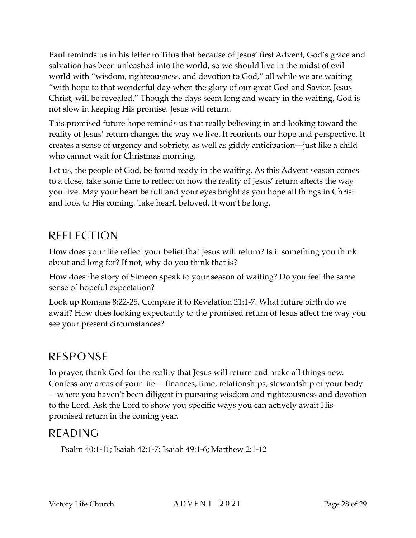Paul reminds us in his letter to Titus that because of Jesus' first Advent, God's grace and salvation has been unleashed into the world, so we should live in the midst of evil world with "wisdom, righteousness, and devotion to God," all while we are waiting "with hope to that wonderful day when the glory of our great God and Savior, Jesus Christ, will be revealed." Though the days seem long and weary in the waiting, God is not slow in keeping His promise. Jesus will return.

This promised future hope reminds us that really believing in and looking toward the reality of Jesus' return changes the way we live. It reorients our hope and perspective. It creates a sense of urgency and sobriety, as well as giddy anticipation—just like a child who cannot wait for Christmas morning.

Let us, the people of God, be found ready in the waiting. As this Advent season comes to a close, take some time to reflect on how the reality of Jesus' return affects the way you live. May your heart be full and your eyes bright as you hope all things in Christ and look to His coming. Take heart, beloved. It won't be long.

# REFLECTION

How does your life reflect your belief that Jesus will return? Is it something you think about and long for? If not, why do you think that is?

How does the story of Simeon speak to your season of waiting? Do you feel the same sense of hopeful expectation?

Look up Romans 8:22-25. Compare it to Revelation 21:1-7. What future birth do we await? How does looking expectantly to the promised return of Jesus affect the way you see your present circumstances?

## RESPONSE

In prayer, thank God for the reality that Jesus will return and make all things new. Confess any areas of your life— finances, time, relationships, stewardship of your body —where you haven't been diligent in pursuing wisdom and righteousness and devotion to the Lord. Ask the Lord to show you specific ways you can actively await His promised return in the coming year.

## READING

Psalm 40:1-11; Isaiah 42:1-7; Isaiah 49:1-6; Matthew 2:1-12